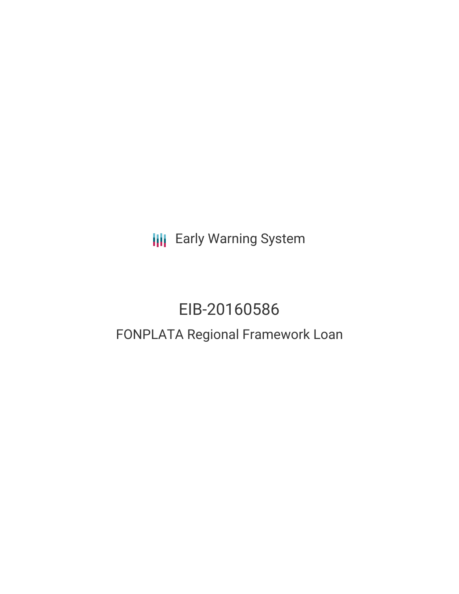**III** Early Warning System

# EIB-20160586

# FONPLATA Regional Framework Loan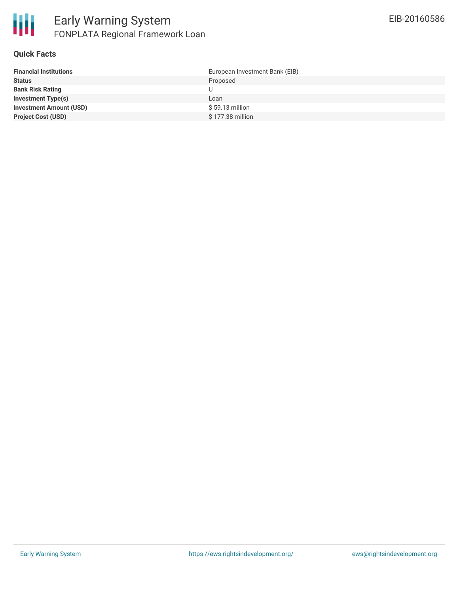

## **Quick Facts**

| <b>Financial Institutions</b>  | European Investment Bank (EIB) |
|--------------------------------|--------------------------------|
| <b>Status</b>                  | Proposed                       |
| <b>Bank Risk Rating</b>        | U                              |
| <b>Investment Type(s)</b>      | Loan                           |
| <b>Investment Amount (USD)</b> | $$59.13$ million               |
| <b>Project Cost (USD)</b>      | $$177.38$ million              |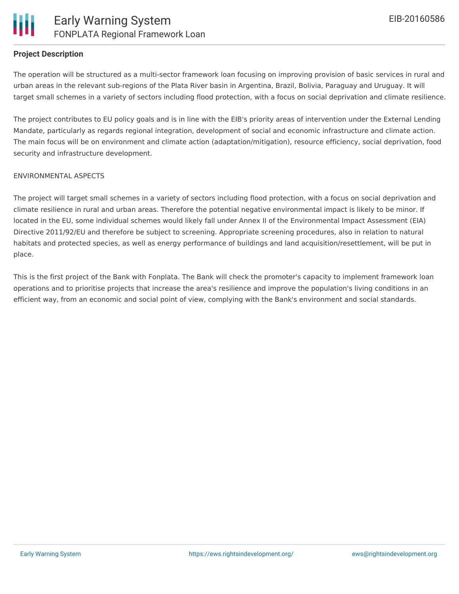# **Project Description**

The operation will be structured as a multi-sector framework loan focusing on improving provision of basic services in rural and urban areas in the relevant sub-regions of the Plata River basin in Argentina, Brazil, Bolivia, Paraguay and Uruguay. It will target small schemes in a variety of sectors including flood protection, with a focus on social deprivation and climate resilience.

The project contributes to EU policy goals and is in line with the EIB's priority areas of intervention under the External Lending Mandate, particularly as regards regional integration, development of social and economic infrastructure and climate action. The main focus will be on environment and climate action (adaptation/mitigation), resource efficiency, social deprivation, food security and infrastructure development.

#### ENVIRONMENTAL ASPECTS

The project will target small schemes in a variety of sectors including flood protection, with a focus on social deprivation and climate resilience in rural and urban areas. Therefore the potential negative environmental impact is likely to be minor. If located in the EU, some individual schemes would likely fall under Annex II of the Environmental Impact Assessment (EIA) Directive 2011/92/EU and therefore be subject to screening. Appropriate screening procedures, also in relation to natural habitats and protected species, as well as energy performance of buildings and land acquisition/resettlement, will be put in place.

This is the first project of the Bank with Fonplata. The Bank will check the promoter's capacity to implement framework loan operations and to prioritise projects that increase the area's resilience and improve the population's living conditions in an efficient way, from an economic and social point of view, complying with the Bank's environment and social standards.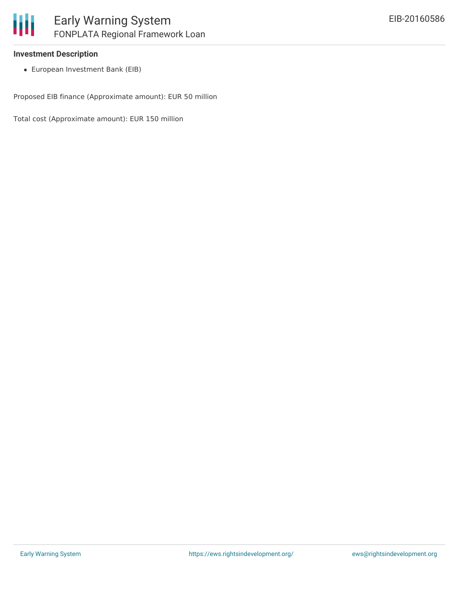

### **Investment Description**

European Investment Bank (EIB)

Proposed EIB finance (Approximate amount): EUR 50 million

Total cost (Approximate amount): EUR 150 million